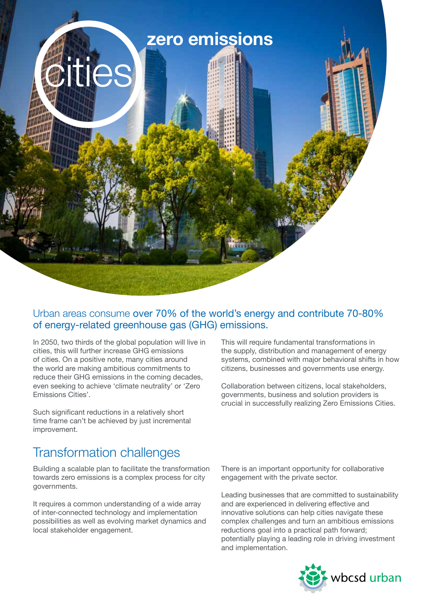

## Urban areas consume over 70% of the world's energy and contribute 70-80% of energy-related greenhouse gas (GHG) emissions.

In 2050, two thirds of the global population will live in cities, this will further increase GHG emissions of cities. On a positive note, many cities around the world are making ambitious commitments to reduce their GHG emissions in the coming decades, even seeking to achieve 'climate neutrality' or 'Zero Emissions Cities'.

Such significant reductions in a relatively short time frame can't be achieved by just incremental improvement.

# Transformation challenges

Building a scalable plan to facilitate the transformation towards zero emissions is a complex process for city governments.

It requires a common understanding of a wide array of inter-connected technology and implementation possibilities as well as evolving market dynamics and local stakeholder engagement.

This will require fundamental transformations in the supply, distribution and management of energy systems, combined with major behavioral shifts in how citizens, businesses and governments use energy.

Collaboration between citizens, local stakeholders, governments, business and solution providers is crucial in successfully realizing Zero Emissions Cities.

There is an important opportunity for collaborative engagement with the private sector.

Leading businesses that are committed to sustainability and are experienced in delivering effective and innovative solutions can help cities navigate these complex challenges and turn an ambitious emissions reductions goal into a practical path forward; potentially playing a leading role in driving investment and implementation.

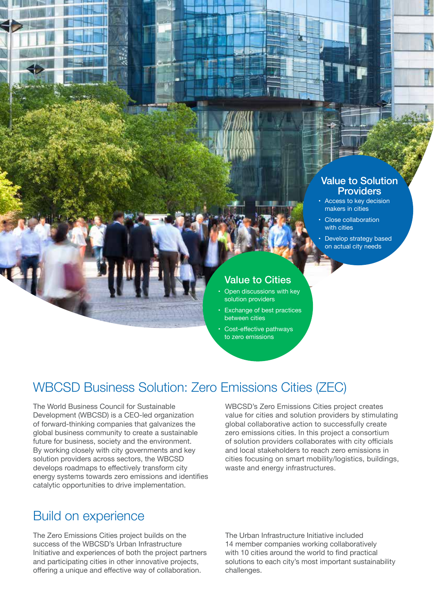#### Value to Solution **Providers**

- Access to key decision makers in cities
- Close collaboration with cities
- Develop strategy based on actual city needs

## Value to Cities

- Open discussions with key solution providers
- Exchange of best practices between cities
- Cost-effective pathways to zero emissions

# WBCSD Business Solution: Zero Emissions Cities (ZEC)

The World Business Council for Sustainable Development (WBCSD) is a CEO-led organization of forward-thinking companies that galvanizes the global business community to create a sustainable future for business, society and the environment. By working closely with city governments and key solution providers across sectors, the WBCSD develops roadmaps to effectively transform city energy systems towards zero emissions and identifies catalytic opportunities to drive implementation.

WBCSD's Zero Emissions Cities project creates value for cities and solution providers by stimulating global collaborative action to successfully create zero emissions cities. In this project a consortium of solution providers collaborates with city officials and local stakeholders to reach zero emissions in cities focusing on smart mobility/logistics, buildings, waste and energy infrastructures.

## Build on experience

The Zero Emissions Cities project builds on the success of the WBCSD's Urban Infrastructure Initiative and experiences of both the project partners and participating cities in other innovative projects, offering a unique and effective way of collaboration.

The Urban Infrastructure Initiative included 14 member companies working collaboratively with 10 cities around the world to find practical solutions to each city's most important sustainability challenges.